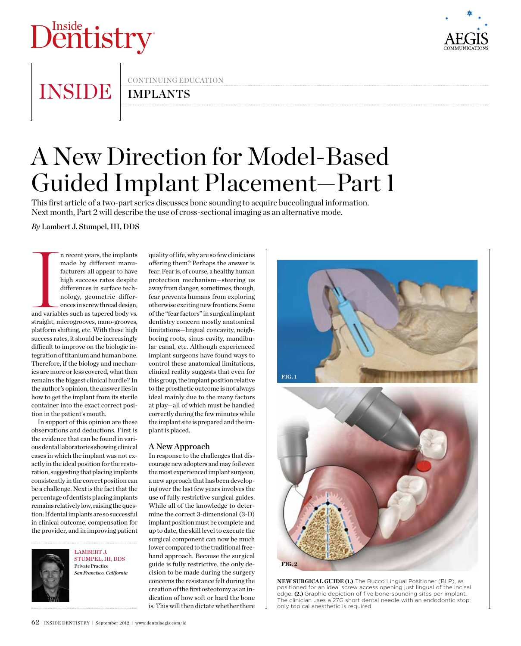# Dentistry



INSIDE IMPLANTS

continuing education

## A New Direction for Model-Based Guided Implant Placement—Part 1

This first article of a two-part series discusses bone sounding to acquire buccolingual information. Next month, Part 2 will describe the use of cross-sectional imaging as an alternative mode.

*By* Lambert J. Stumpel, III, DDS

and variable n recent years, the implants made by different manufacturers all appear to have high success rates despite differences in surface technology, geometric differences in screw thread design, and variables such as tapered body vs. straight, microgrooves, nano-grooves, platform shifting, etc. With these high success rates, it should be increasingly difficult to improve on the biologic integration of titanium and human bone. Therefore, if the biology and mechanics are more or less covered, what then remains the biggest clinical hurdle? In the author's opinion, the answer lies in how to get the implant from its sterile container into the exact correct position in the patient's mouth.

In support of this opinion are these observations and deductions. First is the evidence that can be found in various dental laboratories showing clinical cases in which the implant was not exactly in the ideal position for the restoration, suggesting that placing implants consistently in the correct position can be a challenge. Next is the fact that the percentage of dentists placing implants remains relatively low, raising the question: If dental implants are so successful in clinical outcome, compensation for the provider, and in improving patient



LAMBERT J. Stumpel, III, DDS Private Practice *San Francisco, California*

quality of life, why are so few clinicians offering them? Perhaps the answer is fear. Fear is, of course, a healthy human protection mechanism—steering us away from danger; sometimes, though, fear prevents humans from exploring otherwise exciting new frontiers. Some of the "fear factors" in surgical implant dentistry concern mostly anatomical limitations—lingual concavity, neighboring roots, sinus cavity, mandibular canal, etc. Although experienced implant surgeons have found ways to control these anatomical limitations, clinical reality suggests that even for this group, the implant position relative to the prosthetic outcome is not always ideal mainly due to the many factors at play—all of which must be handled correctly during the few minutes while the implant site is prepared and the implant is placed.

### A New Approach

In response to the challenges that discourage new adopters and may foil even the most experienced implant surgeon, a new approach that has been developing over the last few years involves the use of fully restrictive surgical guides. While all of the knowledge to determine the correct 3-dimensional (3-D) implant position must be complete and up to date, the skill level to execute the surgical component can now be much lower compared to the traditional freehand approach. Because the surgical guide is fully restrictive, the only decision to be made during the surgery concerns the resistance felt during the creation of the first osteotomy as an indication of how soft or hard the bone is. This will then dictate whether there



**NEW SURGICAL GUIDE (1.)** The Bucco Lingual Positioner (BLP), as positioned for an ideal screw access opening just lingual of the incisal edge. **(2.)** Graphic depiction of five bone-sounding sites per implant. The clinician uses a 27G short dental needle with an endodontic stop; only topical anesthetic is required.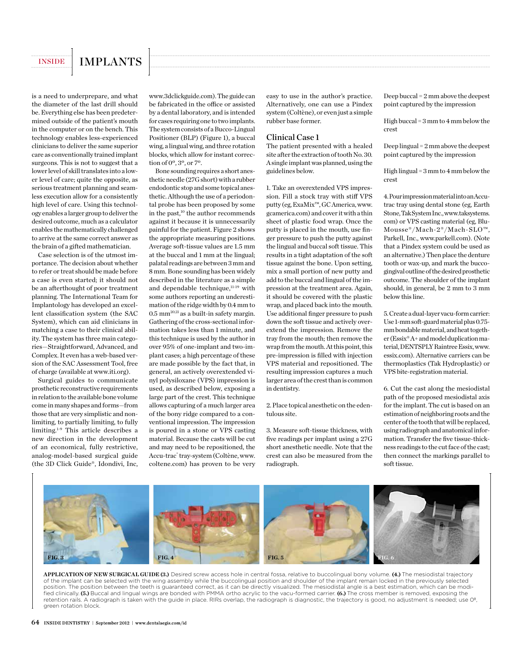### INSIDE | IMPLANTS

is a need to underprepare, and what the diameter of the last drill should be. Everything else has been predetermined outside of the patient's mouth in the computer or on the bench. This technology enables less-experienced clinicians to deliver the same superior care as conventionally trained implant surgeons. This is not to suggest that a lower level of skill translates into a lower level of care; quite the opposite, as serious treatment planning and seamless execution allow for a consistently high level of care. Using this technology enables a larger group to deliver the desired outcome, much as a calculator enables the mathematically challenged to arrive at the same correct answer as the brain of a gifted mathematician.

Case selection is of the utmost importance. The decision about whether to refer or treat should be made before a case is even started; it should not be an afterthought of poor treatment planning. The International Team for Implantology has developed an excellent classification system (the SAC System), which can aid clinicians in matching a case to their clinical ability. The system has three main categories—Straightforward, Advanced, and Complex. It even has a web-based version of the SAC Assessment Tool, free of charge (available at www.iti.org).

Surgical guides to communicate prosthetic reconstructive requirements in relation to the available bone volume come in many shapes and forms—from those that are very simplistic and nonlimiting, to partially limiting, to fully limiting.1-9 This article describes a new direction in the development of an economical, fully restrictive, analog-model-based surgical guide (the 3D Click Guide®, Idondivi, Inc, www.3dclickguide.com). The guide can be fabricated in the office or assisted by a dental laboratory, and is intended for cases requiring one to two implants. The system consists of a Bucco-Lingual Positioner (BLP) (Figure 1), a buccal wing, a lingual wing, and three rotation blocks, which allow for instant correction of 0º, 3º, or 7º.

Bone sounding requires a short anesthetic needle (27G short) with a rubber endodontic stop and some topical anesthetic. Although the use of a periodontal probe has been proposed by some in the past,<sup>10</sup> the author recommends against it because it is unnecessarily painful for the patient. Figure 2 shows the appropriate measuring positions. Average soft-tissue values are 1.5 mm at the buccal and 1 mm at the lingual; palatal readings are between 3 mm and 8 mm. Bone sounding has been widely described in the literature as a simple and dependable technique,<sup>11-19</sup> with some authors reporting an underestimation of the ridge width by 0.4 mm to 0.5 mm20,21 as a built-in safety margin. Gathering of the cross-sectional information takes less than 1 minute, and this technique is used by the author in over 95% of one-implant and two-implant cases; a high percentage of these are made possible by the fact that, in general, an actively overextended vinyl polysiloxane (VPS) impression is used, as described below, exposing a large part of the crest. This technique allows capturing of a much larger area of the bony ridge compared to a conventional impression. The impression is poured in a stone or VPS casting material. Because the casts will be cut and may need to be repositioned, the Accu-trac® tray-system (Coltène, www. coltene.com) has proven to be very

easy to use in the author's practice. Alternatively, one can use a Pindex system (Coltène), or even just a simple rubber base former.

### Clinical Case 1

The patient presented with a healed site after the extraction of tooth No. 30. A single implant was planned, using the guidelines below.

1. Take an overextended VPS impression. Fill a stock tray with stiff VPS putty (eg, ExaMix™, GC America, www. gcamerica.com) and cover it with a thin sheet of plastic food wrap. Once the putty is placed in the mouth, use finger pressure to push the putty against the lingual and buccal soft tissue. This results in a tight adaptation of the soft tissue against the bone. Upon setting, mix a small portion of new putty and add to the buccal and lingual of the impression at the treatment area. Again, it should be covered with the plastic wrap, and placed back into the mouth. Use additional finger pressure to push down the soft tissue and actively overextend the impression. Remove the tray from the mouth; then remove the wrap from the mouth. At this point, this pre-impression is filled with injection VPS material and repositioned. The resulting impression captures a much larger area of the crest than is common in dentistry.

2. Place topical anesthetic on the edentulous site.

3. Measure soft-tissue thickness, with five readings per implant using a 27G short anesthetic needle. Note that the crest can also be measured from the radiograph.

Deep buccal = 2 mm above the deepest point captured by the impression

High buccal = 3 mm to 4 mm below the crest

Deep lingual = 2 mm above the deepest point captured by the impression

High lingual = 3 mm to 4 mm below the crest

4. Pour impression materialinto an Accutrac tray using dental stone (eg, Earth Stone, Tak System Inc., www.taksystems. com) or VPS casting material (eg, Blu-Mousse®/Mach-2®/Mach-SLO™, Parkell, Inc., www.parkell.com). (Note that a Pindex system could be used as an alternative.) Then place the denture tooth or wax-up, and mark the buccogingival outline of the desired prosthetic outcome. The shoulder of the implant should, in general, be 2 mm to 3 mm below this line.

5. Create a dual-layer vacu-form carrier: Use 1-mm soft-guard material plus 0.75 mm bondable material, and heat together (Essix® A+ and model duplication material, DENTSPLY Raintree Essix, www. essix.com). Alternative carriers can be thermoplastics (Tak Hydroplastic) or VPS bite-registration material.

6. Cut the cast along the mesiodistal path of the proposed mesiodistal axis for the implant. The cut is based on an estimation of neighboring roots and the center of the tooth that will be replaced, using radiograph and anatomical information. Transfer the five tissue-thickness readings to the cut face of the cast; then connect the markings parallel to soft tissue.



**APPLICATION OF NEW SURGICAL GUIDE (3.)** Desired screw access hole in central fossa, relative to buccolingual bony volume. **(4.)** The mesiodistal trajectory of the implant can be selected with the wing assembly while the buccolingual position and shoulder of the implant remain locked in the previously selected position. The position between the teeth is guaranteed correct, as it can be directly visualized. The mesiodistal angle is a best estimation, which can be modified clinically. **(5.)** Buccal and lingual wings are bonded with PMMA ortho acrylic to the vacu-formed carrier. **(6.)** The cross member is removed, exposing the retention rails. A radiograph is taken with the guide in place. RIRs overlap, the radiograph is diagnostic, the trajectory is good, no adjustment is needed; use 0°, green rotation block.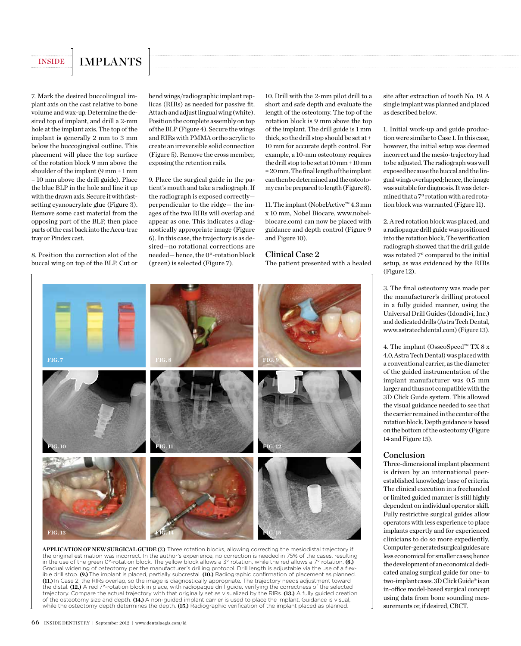### INSIDE | IMPLANTS

7. Mark the desired buccolingual implant axis on the cast relative to bone volume and wax-up. Determine the desired top of implant, and drill a 2-mm hole at the implant axis. The top of the implant is generally 2 mm to 3 mm below the buccogingival outline. This placement will place the top surface of the rotation block 9 mm above the shoulder of the implant (9 mm + 1 mm = 10 mm above the drill guide). Place the blue BLP in the hole and line it up with the drawn axis. Secure it with fastsetting cyanoacrylate glue (Figure 3). Remove some cast material from the opposing part of the BLP, then place parts of the cast back into the Accu-trac tray or Pindex cast.

8. Position the correction slot of the buccal wing on top of the BLP. Cut or bend wings/radiographic implant replicas (RIRs) as needed for passive fit. Attach and adjust lingual wing (white). Position the complete assembly on top of the BLP (Figure 4). Secure the wings and RIRs with PMMA ortho acrylic to create an irreversible solid connection (Figure 5). Remove the cross member, exposing the retention rails.

9. Place the surgical guide in the patient's mouth and take a radiograph. If the radiograph is exposed correctly perpendicular to the ridge— the images of the two RIRs will overlap and appear as one. This indicates a diagnostically appropriate image (Figure 6). In this case, the trajectory is as desired—no rotational corrections are needed— hence, the 0º-rotation block (green) is selected (Figure 7).

10. Drill with the 2-mm pilot drill to a short and safe depth and evaluate the length of the osteotomy. The top of the rotation block is 9 mm above the top of the implant. The drill guide is 1 mm thick, so the drill stop should be set at + 10 mm for accurate depth control. For example, a 10-mm osteotomy requires the drill stop to be set at 10 mm + 10 mm = 20 mm. The final length of the implant can then be determined and the osteotomy can be prepared to length (Figure 8).

11. The implant (NobelActive™ 4.3 mm x 10 mm, Nobel Biocare, www.nobelbiocare.com) can now be placed with guidance and depth control (Figure 9 and Figure 10).

### Clinical Case 2

The patient presented with a healed



**APPLICATION OF NEW SURGICAL GUIDE (7.)** Three rotation blocks, allowing correcting the mesiodistal trajectory if the original estimation was incorrect. In the author's experience, no correction is needed in 75% of the cases, resulting in the use of the green 0°-rotation block. The yellow block allows a 3° rotation, while the red allows a 7° rotation. **(8.)**  Gradual widening of osteotomy per the manufacturer's drilling protocol. Drill length is adjustable via the use of a flexible drill stop. **(9.)** The implant is placed, partially subcrestal. **(10.)** Radiographic confirmation of placement as planned. **(11.)** In Case 2, the RIRs overlap, so the image is diagnostically appropriate. The trajectory needs adjustment toward the distal. **(12.)** A red 7°-rotation block in place, with radiopaque drill guide, verifying the correctness of the selected trajectory. Compare the actual trajectory with that originally set as visualized by the RIRs. **(13.)** A fully guided creation of the osteotomy size and depth. **(14.)** A non-guided implant carrier is used to place the implant. Guidance is visual, while the osteotomy depth determines the depth. **(15.)** Radiographic verification of the implant placed as planned.

site after extraction of tooth No. 19. A single implant was planned and placed as described below.

1. Initial work-up and guide production were similar to Case 1. In this case, however, the initial setup was deemed incorrect and the mesio-trajectory had to be adjusted. The radiograph was well exposed because the buccal and the lingual wings overlapped; hence, the image was suitable for diagnosis. It was determined that a 7º rotation with a red rotation block was warranted (Figure 11).

2. A red rotation block was placed, and a radiopaque drill guide was positioned into the rotation block. The verification radiograph showed that the drill guide was rotated 7º compared to the initial setup, as was evidenced by the RIRs (Figure 12).

3. The final osteotomy was made per the manufacturer's drilling protocol in a fully guided manner, using the Universal Drill Guides (Idondivi, Inc.) and dedicated drills (Astra Tech Dental, www.astratechdental.com) (Figure 13).

4. The implant (OsseoSpeed™ TX 8 x 4.0, Astra Tech Dental) was placed with a conventional carrier, as the diameter of the guided instrumentation of the implant manufacturer was 0.5 mm larger and thus not compatible with the 3D Click Guide system. This allowed the visual guidance needed to see that the carrier remained in the center of the rotation block. Depth guidance is based on the bottom of the osteotomy (Figure 14 and Figure 15).

### Conclusion

Three-dimensional implant placement is driven by an international peerestablished knowledge base of criteria. The clinical execution in a freehanded or limited guided manner is still highly dependent on individual operator skill. Fully restrictive surgical guides allow operators with less experience to place implants expertly and for experienced clinicians to do so more expediently. Computer-generated surgical guides are less economical for smaller cases; hence the development of an economical dedicated analog surgical guide for one- to two-implant cases. 3D Click Guide**®** is an in-office model-based surgical concept using data from bone sounding measurements or, if desired, CBCT.